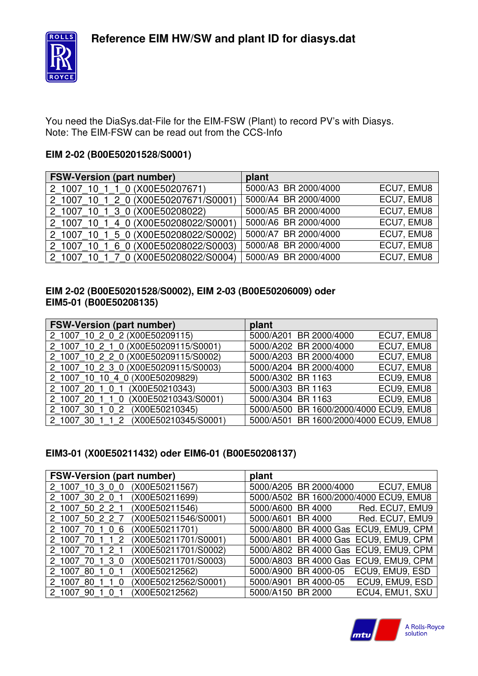

You need the DiaSys.dat-File for the EIM-FSW (Plant) to record PV's with Diasys. Note: The EIM-FSW can be read out from the CCS-Info

## **EIM 2-02 (B00E50201528/S0001)**

| <b>FSW-Version (part number)</b>                  | plant                |            |
|---------------------------------------------------|----------------------|------------|
| 1 1 0 (X00E50207671)<br>10 <sup>°</sup><br>2 1007 | 5000/A3 BR 2000/4000 | ECU7, EMU8 |
| 10 1 2 0 (X00E50207671/S0001)<br>2 1007           | 5000/A4 BR 2000/4000 | ECU7, EMU8 |
| 10 1 3 0 (X00E50208022)<br>2 1007                 | 5000/A5 BR 2000/4000 | ECU7, EMU8 |
| 10 1 4 0 (X00E50208022/S0001)<br>2 1007           | 5000/A6 BR 2000/4000 | ECU7, EMU8 |
| 5 0 (X00E50208022/S0002)<br>2 1007                | 5000/A7 BR 2000/4000 | ECU7, EMU8 |
| 6 0 (X00E50208022/S0003)<br>2 1007                | 5000/A8 BR 2000/4000 | ECU7, EMU8 |
| 10 1 7 0 (X00E50208022/S0004)<br>2 1007           | 5000/A9 BR 2000/4000 | ECU7, EMU8 |

## **EIM 2-02 (B00E50201528/S0002), EIM 2-03 (B00E50206009) oder EIM5-01 (B00E50208135)**

| <b>FSW-Version (part number)</b>     | plant                                  |
|--------------------------------------|----------------------------------------|
| 2 1007 10 2 0 2 (X00E50209115)       | ECU7, EMU8<br>5000/A201 BR 2000/4000   |
| 2_1007_10_2_1_0 (X00E50209115/S0001) | ECU7, EMU8<br>5000/A202 BR 2000/4000   |
| 2 1007 10 2 2 0 (X00E50209115/S0002) | ECU7, EMU8<br>5000/A203 BR 2000/4000   |
| 2 1007 10 2 3 0 (X00E50209115/S0003) | ECU7, EMU8<br>5000/A204 BR 2000/4000   |
| 2 1007 10 10 4 0 (X00E50209829)      | ECU9, EMU8<br>5000/A302 BR 1163        |
| 2 1007 20 1 0 1 (X00E50210343)       | ECU9, EMU8<br>5000/A303 BR 1163        |
| 2 1007 20 1 1 0 (X00E50210343/S0001) | ECU9, EMU8<br>5000/A304 BR 1163        |
| 2 1007 30 1 0 2 (X00E50210345)       | 5000/A500 BR 1600/2000/4000 ECU9, EMU8 |
| 2_1007_30_1_1_2 (X00E50210345/S0001) | 5000/A501 BR 1600/2000/4000 ECU9, EMU8 |

## **EIM3-01 (X00E50211432) oder EIM6-01 (B00E50208137)**

| <b>FSW-Version (part number)</b> |                      | plant                                  |
|----------------------------------|----------------------|----------------------------------------|
| 2 1007 10 3 0 0                  | (X00E50211567)       | 5000/A205 BR 2000/4000<br>ECU7, EMU8   |
| 2 1007 30 2 0 1                  | (X00E50211699)       | 5000/A502 BR 1600/2000/4000 ECU9, EMU8 |
| 2 1007 50 2 2 1                  | (X00E50211546)       | Red. ECU7, EMU9<br>5000/A600 BR 4000   |
| 2 1007 50 2 2 7                  | (X00E50211546/S0001) | Red. ECU7, EMU9<br>5000/A601 BR 4000   |
| 2 1007 70 1 0 6                  | (X00E50211701)       | 5000/A800 BR 4000 Gas ECU9, EMU9, CPM  |
| 70 1 1<br>2 1007<br>$\cdot$ 2    | (X00E50211701/S0001) | 5000/A801 BR 4000 Gas ECU9, EMU9, CPM  |
| 2 1007 70 1 2 1                  | (X00E50211701/S0002) | 5000/A802 BR 4000 Gas ECU9, EMU9, CPM  |
| 2 1007 70 1 3 0                  | (X00E50211701/S0003) | 5000/A803 BR 4000 Gas ECU9, EMU9, CPM  |
| 2 1007 80 1 0                    | (X00E50212562)       | 5000/A900 BR 4000-05 ECU9, EMU9, ESD   |
| 2 1007 80 1<br>$1\ 0$            | (X00E50212562/S0001) | 5000/A901 BR 4000-05 ECU9, EMU9, ESD   |
| 2 1007 90<br>0                   | (X00E50212562)       | ECU4, EMU1, SXU<br>5000/A150 BR 2000   |